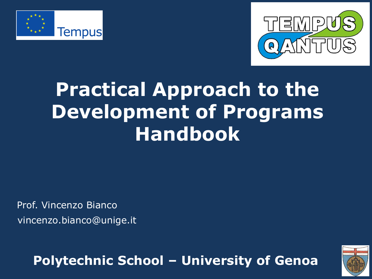



# **Practical Approach to the Development of Programs Handbook**

Prof. Vincenzo Bianco vincenzo.bianco@unige.it

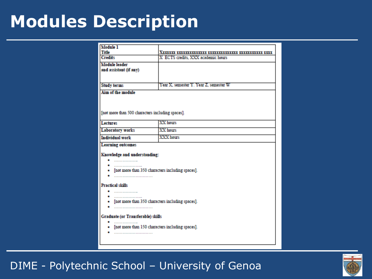# **Modules Description**

| <b>Module 1</b>                                    |                                        |  |  |
|----------------------------------------------------|----------------------------------------|--|--|
| Title                                              | <u>Xuun maannaa aannaan maannan m</u>  |  |  |
| <b>Credits</b>                                     | X ECTS credits, XXX academic hours     |  |  |
| <b>Module</b> leader                               |                                        |  |  |
| and assistant (if any)                             |                                        |  |  |
|                                                    |                                        |  |  |
|                                                    |                                        |  |  |
| <b>Study terms</b>                                 | Year X, semester Y. Year Z, semester W |  |  |
| Aim of the module                                  |                                        |  |  |
|                                                    |                                        |  |  |
|                                                    |                                        |  |  |
|                                                    |                                        |  |  |
| [not more than 500 characters including spaces].   |                                        |  |  |
|                                                    |                                        |  |  |
| <b>Lectures</b>                                    | XX hours                               |  |  |
| <b>Laboratory works</b>                            | XX hours                               |  |  |
| <b>Individual work</b>                             | XXX hours                              |  |  |
| <b>Learning outcomes</b>                           |                                        |  |  |
|                                                    |                                        |  |  |
| Knowledge and understanding:                       |                                        |  |  |
| ----------------                                   |                                        |  |  |
|                                                    |                                        |  |  |
| [not more than 350 characters including spaces].   |                                        |  |  |
|                                                    |                                        |  |  |
| <b>Practical skills</b>                            |                                        |  |  |
|                                                    |                                        |  |  |
|                                                    |                                        |  |  |
| • [not more than 350 characters including spaces]. |                                        |  |  |
|                                                    |                                        |  |  |
|                                                    |                                        |  |  |
| Graduate (or Transferable) skills                  |                                        |  |  |
|                                                    |                                        |  |  |
| • [not more than 150 characters including spaces]. |                                        |  |  |
|                                                    |                                        |  |  |
|                                                    |                                        |  |  |
|                                                    |                                        |  |  |

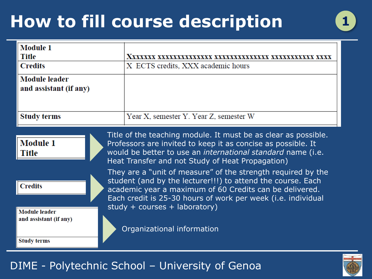# **How to fill course description 1**



| <b>Module 1</b><br>Title                                                                                                                                                                                                                                                                                                          |                                        |  |
|-----------------------------------------------------------------------------------------------------------------------------------------------------------------------------------------------------------------------------------------------------------------------------------------------------------------------------------|----------------------------------------|--|
| <b>Credits</b>                                                                                                                                                                                                                                                                                                                    | X ECTS credits, XXX academic hours     |  |
| <b>Module</b> leader<br>and assistant (if any)                                                                                                                                                                                                                                                                                    |                                        |  |
| Study terms                                                                                                                                                                                                                                                                                                                       | Year X, semester Y. Year Z, semester W |  |
| Title of the teaching module. It must be as clear as possible.<br><b>Module 1</b><br>Professors are invited to keep it as concise as possible. It<br>would be better to use an international standard name (i.e.<br>Title<br>Heat Transfer and not Study of Heat Propagation)                                                     |                                        |  |
| They are a "unit of measure" of the strength required by the<br>student (and by the lecturer!!!) to attend the course. Each<br><b>Credits</b><br>academic year a maximum of 60 Credits can be delivered.<br>Each credit is 25-30 hours of work per week (i.e. individual<br>study + courses + laboratory)<br><b>Module</b> leader |                                        |  |
| and assistant (if any)<br><b>Study terms</b>                                                                                                                                                                                                                                                                                      | Organizational information             |  |



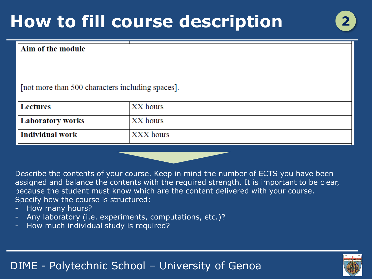# **How to fill course description 2**

#### Aim of the module

[not more than 500 characters including spaces].

| Lectures         | XX hours  |
|------------------|-----------|
| Laboratory works | XX hours  |
| Individual work  | XXX hours |

Describe the contents of your course. Keep in mind the number of ECTS you have been assigned and balance the contents with the required strength. It is important to be clear, because the student must know which are the content delivered with your course. Specify how the course is structured:

- How many hours?
- Any laboratory (i.e. experiments, computations, etc.)?
- How much individual study is required?

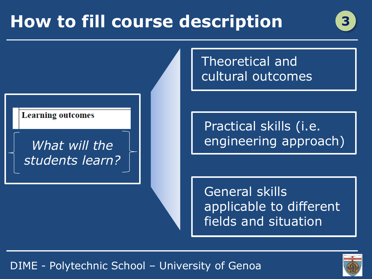# **How to fill course description**

#### **Learning outcomes**

### *What will the students learn?*

Theoretical and cultural outcomes

Practical skills (i.e. engineering approach)

General skills applicable to different fields and situation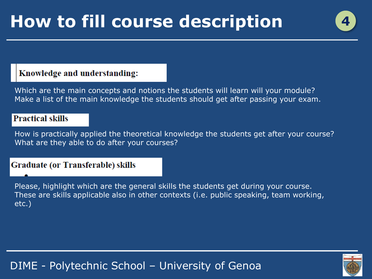#### Knowledge and understanding:

Which are the main concepts and notions the students will learn will your module? Make a list of the main knowledge the students should get after passing your exam.

#### **Practical skills**

How is practically applied the theoretical knowledge the students get after your course? What are they able to do after your courses?

#### **Graduate (or Transferable) skills**

Please, highlight which are the general skills the students get during your course. These are skills applicable also in other contexts (i.e. public speaking, team working, etc.)

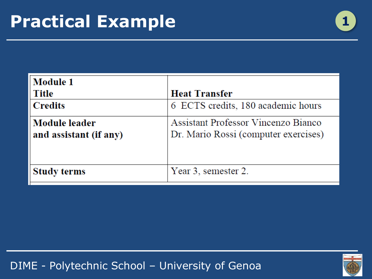

| <b>Module 1</b>                         |                                                                             |
|-----------------------------------------|-----------------------------------------------------------------------------|
| <b>Title</b>                            | <b>Heat Transfer</b>                                                        |
| <b>Credits</b>                          | 6 ECTS credits, 180 academic hours                                          |
| Module leader<br>and assistant (if any) | Assistant Professor Vincenzo Bianco<br>Dr. Mario Rossi (computer exercises) |
| <b>Study terms</b>                      | Year 3, semester 2.                                                         |

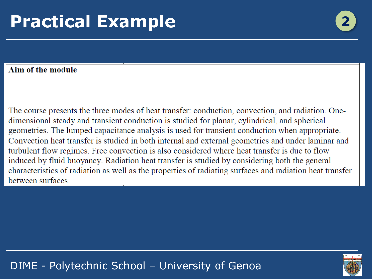# **Practical Example**

#### Aim of the module

The course presents the three modes of heat transfer: conduction, convection, and radiation. Onedimensional steady and transient conduction is studied for planar, cylindrical, and spherical geometries. The lumped capacitance analysis is used for transient conduction when appropriate. Convection heat transfer is studied in both internal and external geometries and under laminar and turbulent flow regimes. Free convection is also considered where heat transfer is due to flow induced by fluid buoyancy. Radiation heat transfer is studied by considering both the general characteristics of radiation as well as the properties of radiating surfaces and radiation heat transfer between surfaces.

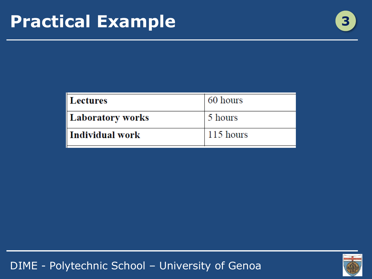

| Lectures         | 60 hours  |
|------------------|-----------|
| Laboratory works | 5 hours   |
| Individual work  | 115 hours |